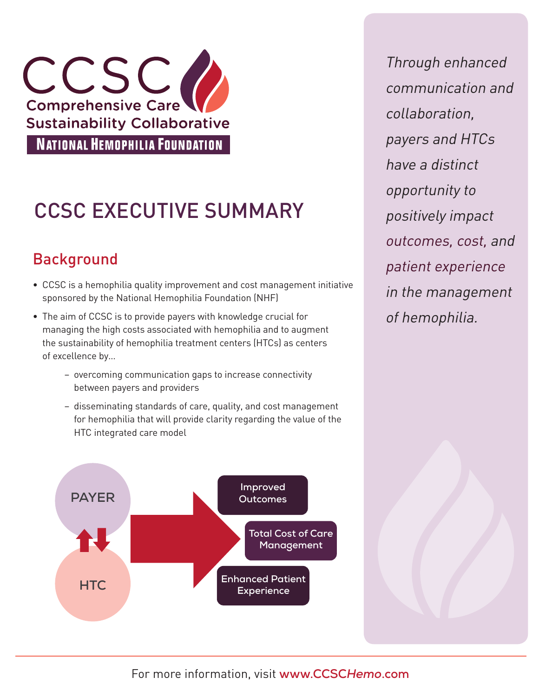

# CCSC EXECUTIVE SUMMARY

## Background

- CCSC is a hemophilia quality improvement and cost management initiative sponsored by the National Hemophilia Foundation (NHF)
- The aim of CCSC is to provide payers with knowledge crucial for managing the high costs associated with hemophilia and to augment the sustainability of hemophilia treatment centers (HTCs) as centers of excellence by…
	- overcoming communication gaps to increase connectivity between payers and providers
	- disseminating standards of care, quality, and cost management for hemophilia that will provide clarity regarding the value of the HTC integrated care model



Through enhanced communication and collaboration, payers and HTCs have a distinct opportunity to positively impact outcomes, cost, and patient experience in the management of hemophilia.

For more information, visit **www.CCSC***Hemo***.com**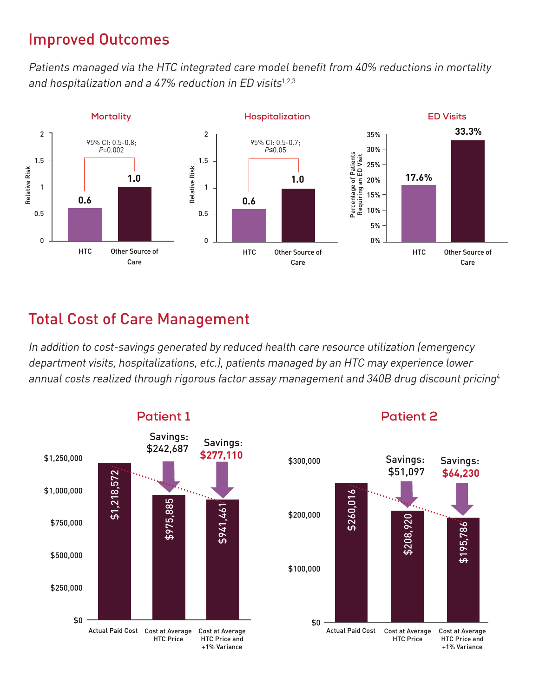#### Improved Outcomes

Patients managed via the HTC integrated care model benefit from 40% reductions in mortality and hospitalization and a 47% reduction in ED visits $1,2,3$ 



#### Total Cost of Care Management

In addition to cost-savings generated by reduced health care resource utilization (emergency department visits, hospitalizations, etc.), patients managed by an HTC may experience lower annual costs realized through rigorous factor assay management and 340B drug discount pricing<sup>4</sup>



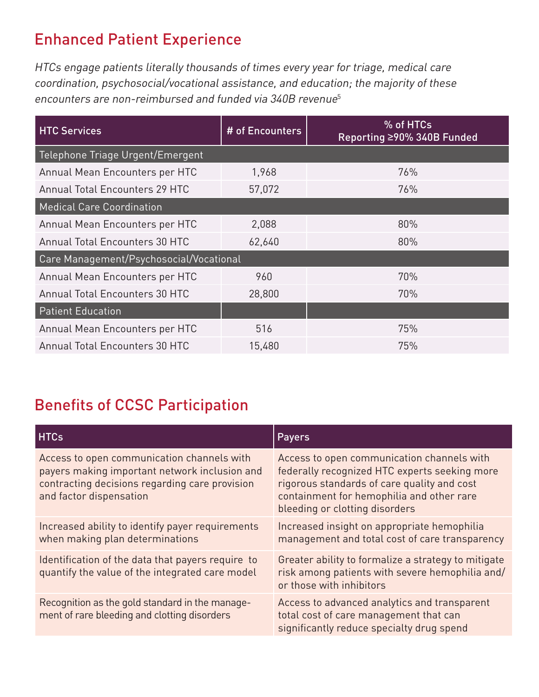### Enhanced Patient Experience

HTCs engage patients literally thousands of times every year for triage, medical care coordination, psychosocial/vocational assistance, and education; the majority of these encounters are non-reimbursed and funded via 340B revenue<sup>5</sup>

| <b>HTC Services</b>                     | # of Encounters | % of HTCs<br>Reporting ≥90% 340B Funded |  |  |
|-----------------------------------------|-----------------|-----------------------------------------|--|--|
| Telephone Triage Urgent/Emergent        |                 |                                         |  |  |
| Annual Mean Encounters per HTC          | 1,968           | 76%                                     |  |  |
| <b>Annual Total Encounters 29 HTC</b>   | 57,072          | 76%                                     |  |  |
| <b>Medical Care Coordination</b>        |                 |                                         |  |  |
| Annual Mean Encounters per HTC          | 2,088           | 80%                                     |  |  |
| <b>Annual Total Encounters 30 HTC</b>   | 62,640          | 80%                                     |  |  |
| Care Management/Psychosocial/Vocational |                 |                                         |  |  |
| Annual Mean Encounters per HTC          | 960             | 70%                                     |  |  |
| <b>Annual Total Encounters 30 HTC</b>   | 28,800          | 70%                                     |  |  |
| <b>Patient Education</b>                |                 |                                         |  |  |
| Annual Mean Encounters per HTC          | 516             | 75%                                     |  |  |
| <b>Annual Total Encounters 30 HTC</b>   | 15,480          | 75%                                     |  |  |

### Benefits of CCSC Participation

| <b>HTCs</b>                                                                                                                                                              | <b>Payers</b>                                                                                                                                                                                                             |
|--------------------------------------------------------------------------------------------------------------------------------------------------------------------------|---------------------------------------------------------------------------------------------------------------------------------------------------------------------------------------------------------------------------|
| Access to open communication channels with<br>payers making important network inclusion and<br>contracting decisions regarding care provision<br>and factor dispensation | Access to open communication channels with<br>federally recognized HTC experts seeking more<br>rigorous standards of care quality and cost<br>containment for hemophilia and other rare<br>bleeding or clotting disorders |
| Increased ability to identify payer requirements<br>when making plan determinations                                                                                      | Increased insight on appropriate hemophilia<br>management and total cost of care transparency                                                                                                                             |
| Identification of the data that payers require to<br>quantify the value of the integrated care model                                                                     | Greater ability to formalize a strategy to mitigate<br>risk among patients with severe hemophilia and/<br>or those with inhibitors                                                                                        |
| Recognition as the gold standard in the manage-<br>ment of rare bleeding and clotting disorders                                                                          | Access to advanced analytics and transparent<br>total cost of care management that can<br>significantly reduce specialty drug spend                                                                                       |